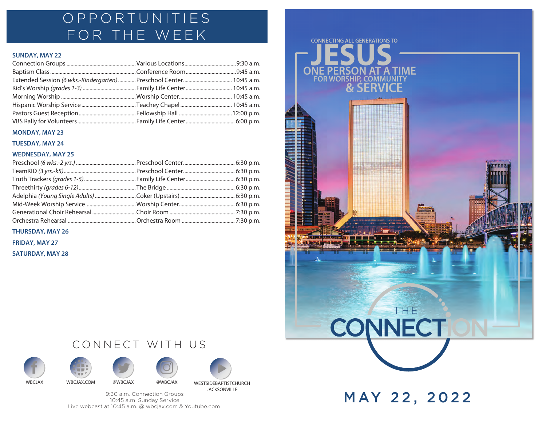## OPPORTUNITIES FOR THE WEEK

### **SUNDAY, MAY 22**

| Extended Session (6 wks.-Kindergarten)  Preschool Center  10:45 a.m. |  |
|----------------------------------------------------------------------|--|
|                                                                      |  |
|                                                                      |  |
|                                                                      |  |
|                                                                      |  |
|                                                                      |  |

#### **MONDAY, MAY 23**

**TUESDAY, MAY 24**

#### **WEDNESDAY, MAY 25**

**THURSDAY, MAY 26**

**FRIDAY, MAY 27**

**SATURDAY, MAY 28**







CONNECT WITH US



WBCJAX WBCJAX.COM @WBCJAX @WBCJAX WESTSIDEBAPTISTCHURCH JACKSONVILLE

9:30 a.m. Connection Groups 10:45 a.m. Sunday Service Live webcast at 10:45 a.m. @ wbcjax.com & Youtube.com